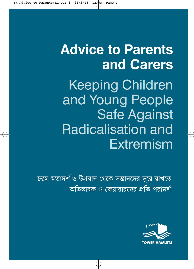# **Advice to Parents and Carers**

Keeping Children and Young People Safe Against Radicalisation and Extremism

চরম মতাদর্শ ও উগ্রবাদ থেকে সন্তানদের দূরে রাখতে অভিভাবক ও কেয়ারারদের প্রতি পরামর্শ

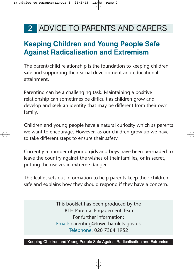### **Keeping Children and Young People Safe Against Radicalisation and Extremism**

The parent/child relationship is the foundation to keeping children safe and supporting their social development and educational attainment.

Parenting can be a challenging task. Maintaining a positive relationship can sometimes be difficult as children grow and develop and seek an identity that may be different from their own family.

Children and young people have a natural curiosity which as parents we want to encourage. However, as our children grow up we have to take different steps to ensure their safety.

Currently a number of young girls and boys have been persuaded to leave the country against the wishes of their families, or in secret, putting themselves in extreme danger.

This leaflet sets out information to help parents keep their children safe and explains how they should respond if they have a concern.

> This booklet has been produced by the LBTH Parental Engagement Team For further information: Email: parenting@towerhamlets.gov.uk Telephone: 020 7364 1952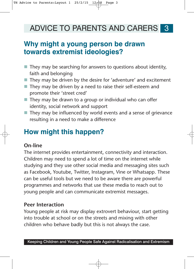### **Why might a young person be drawn towards extremist ideologies?**

- They may be searching for answers to questions about identity, faith and belonging
- They may be driven by the desire for 'adventure' and excitement
- They may be driven by a need to raise their self-esteem and promote their 'street cred'
- They may be drawn to a group or individual who can offer identity, social network and support
- They may be influenced by world events and a sense of grievance resulting in a need to make a difference

## **How might this happen?**

#### **On-line**

The internet provides entertainment, connectivity and interaction. Children may need to spend a lot of time on the internet while studying and they use other social media and messaging sites such as Facebook, Youtube, Twitter, Instagram, Vine or Whatsapp. These can be useful tools but we need to be aware there are powerful programmes and networks that use these media to reach out to young people and can communicate extremist messages.

#### **Peer Interaction**

Young people at risk may display extrovert behaviour, start getting into trouble at school or on the streets and mixing with other children who behave badly but this is not always the case.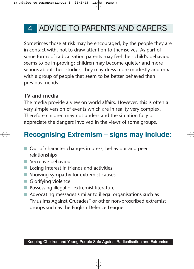Sometimes those at risk may be encouraged, by the people they are in contact with, not to draw attention to themselves. As part of some forms of radicalisation parents may feel their child's behaviour seems to be improving: children may become quieter and more serious about their studies; they may dress more modestly and mix with a group of people that seem to be better behaved than previous friends.

#### **TV and media**

The media provide a view on world affairs. However, this is often a very simple version of events which are in reality very complex. Therefore children may not understand the situation fully or appreciate the dangers involved in the views of some groups.

# **Recognising Extremism – signs may include:**

- Out of character changes in dress, behaviour and peer relationships
- **Secretive behaviour**
- **E** Losing interest in friends and activities
- **Showing sympathy for extremist causes**
- **Glorifying violence**
- **Possessing illegal or extremist literature**
- Advocating messages similar to illegal organisations such as "Muslims Against Crusades" or other non-proscribed extremist groups such as the English Defence League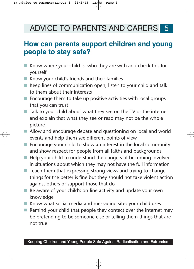#### **How can parents support children and young people to stay safe?**

- Know where your child is, who they are with and check this for yourself
- Know your child's friends and their families
- Keep lines of communication open, listen to your child and talk to them about their interests
- Encourage them to take up positive activities with local groups that you can trust
- Talk to your child about what they see on the TV or the internet and explain that what they see or read may not be the whole picture
- Allow and encourage debate and questioning on local and world events and help them see different points of view
- Encourage your child to show an interest in the local community and show respect for people from all faiths and backgrounds
- Help your child to understand the dangers of becoming involved in situations about which they may not have the full information
- Teach them that expressing strong views and trying to change things for the better is fine but they should not take violent action against others or support those that do
- Be aware of your child's on-line activity and update your own knowledge
- Know what social media and messaging sites your child uses
- Remind your child that people they contact over the internet may be pretending to be someone else or telling them things that are not true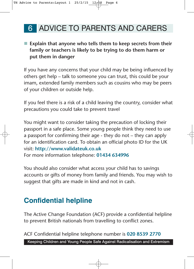#### ■ Explain that anyone who tells them to keep secrets from their **family or teachers is likely to be trying to do them harm or put them in danger**

If you have any concerns that your child may be being influenced by others get help – talk to someone you can trust, this could be your imam, extended family members such as cousins who may be peers of your children or outside help.

If you feel there is a risk of a child leaving the country, consider what precautions you could take to prevent travel

You might want to consider taking the precaution of locking their passport in a safe place. Some young people think they need to use a passport for confirming their age - they do not – they can apply for an identification card. To obtain an official photo ID for the UK visit: **http://www.validateuk.co.uk**  For more information telephone: **01434 634996**

You should also consider what access your child has to savings accounts or gifts of money from family and friends. You may wish to suggest that gifts are made in kind and not in cash.

## **Confidential helpline**

The Active Change Foundation (ACF) provide a confidential helpline to prevent British nationals from travelling to conflict zones.

ACF Confidential helpline telephone number is **020 8539 2770**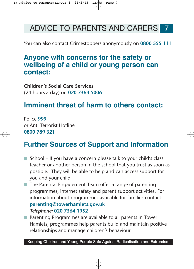You can also contact Crimestoppers anonymously on **0800 555 111**

### **Anyone with concerns for the safety or wellbeing of a child or young person can contact:**

**Children's Social Care Services** (24 hours a day) on **020 7364 5006**

### **Imminent threat of harm to others contact:**

Police **999** or Anti Terrorist Hotline **0800 789 321**

### **Further Sources of Support and Information**

- School If you have a concern please talk to your child's class teacher or another person in the school that you trust as soon as possible. They will be able to help and can access support for you and your child
- **The Parental Engagement Team offer a range of parenting** programmes, internet safety and parent support activities. For information about programmes available for families contact:

#### **parenting@towerhamlets.gov.uk**  *Telephone:* **020 7364 1952**

■ Parenting Programmes are available to all parents in Tower Hamlets, programmes help parents build and maintain positive relationships and manage children's behaviour